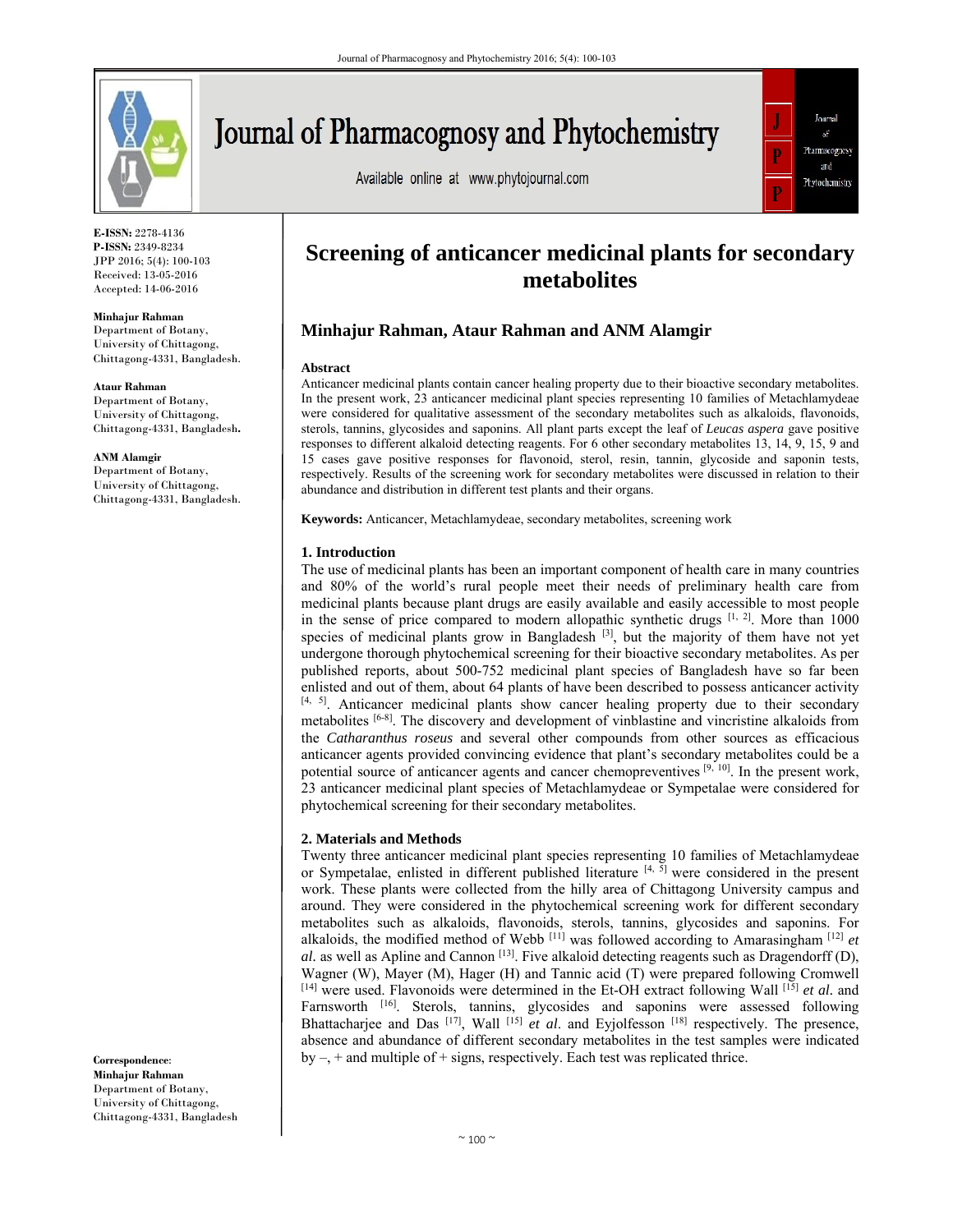

# Journal of Pharmacognosy and Phytochemistry

Available online at www.phytojournal.com



**E-ISSN:** 2278-4136 **P-ISSN:** 2349-8234 JPP 2016; 5(4): 100-103 Received: 13-05-2016 Accepted: 14-06-2016

**Minhajur Rahman** 

Department of Botany, University of Chittagong, Chittagong-4331, Bangladesh.

#### **Ataur Rahman**

Department of Botany, University of Chittagong, Chittagong-4331, Bangladesh**.**

**ANM Alamgir** 

Department of Botany, University of Chittagong, Chittagong-4331, Bangladesh.

**Correspondence**: **Minhajur Rahman**  Department of Botany, University of Chittagong, Chittagong-4331, Bangladesh

## **Screening of anticancer medicinal plants for secondary metabolites**

### **Minhajur Rahman, Ataur Rahman and ANM Alamgir**

#### **Abstract**

Anticancer medicinal plants contain cancer healing property due to their bioactive secondary metabolites. In the present work, 23 anticancer medicinal plant species representing 10 families of Metachlamydeae were considered for qualitative assessment of the secondary metabolites such as alkaloids, flavonoids, sterols, tannins, glycosides and saponins. All plant parts except the leaf of *Leucas aspera* gave positive responses to different alkaloid detecting reagents. For 6 other secondary metabolites 13, 14, 9, 15, 9 and 15 cases gave positive responses for flavonoid, sterol, resin, tannin, glycoside and saponin tests, respectively. Results of the screening work for secondary metabolites were discussed in relation to their abundance and distribution in different test plants and their organs.

**Keywords:** Anticancer, Metachlamydeae, secondary metabolites, screening work

#### **1. Introduction**

The use of medicinal plants has been an important component of health care in many countries and 80% of the world's rural people meet their needs of preliminary health care from medicinal plants because plant drugs are easily available and easily accessible to most people in the sense of price compared to modern allopathic synthetic drugs  $[1, 2]$ . More than 1000 species of medicinal plants grow in Bangladesh  $^{[3]}$ , but the majority of them have not yet undergone thorough phytochemical screening for their bioactive secondary metabolites. As per published reports, about 500-752 medicinal plant species of Bangladesh have so far been enlisted and out of them, about 64 plants of have been described to possess anticancer activity  $[4, 5]$ . Anticancer medicinal plants show cancer healing property due to their secondary metabolites [6-8]. The discovery and development of vinblastine and vincristine alkaloids from the *Catharanthus roseus* and several other compounds from other sources as efficacious anticancer agents provided convincing evidence that plant's secondary metabolites could be a potential source of anticancer agents and cancer chemopreventives [9, 10]. In the present work, 23 anticancer medicinal plant species of Metachlamydeae or Sympetalae were considered for phytochemical screening for their secondary metabolites.

#### **2. Materials and Methods**

Twenty three anticancer medicinal plant species representing 10 families of Metachlamydeae or Sympetalae, enlisted in different published literature  $[4, 5]$  were considered in the present work. These plants were collected from the hilly area of Chittagong University campus and around. They were considered in the phytochemical screening work for different secondary metabolites such as alkaloids, flavonoids, sterols, tannins, glycosides and saponins. For alkaloids, the modified method of Webb  $^{[11]}$  was followed according to Amarasingham  $^{[12]}$  et  $al.$  as well as Apline and Cannon<sup>[13]</sup>. Five alkaloid detecting reagents such as Dragendorff (D), Wagner (W), Mayer (M), Hager (H) and Tannic acid (T) were prepared following Cromwell  $[14]$  were used. Flavonoids were determined in the Et-OH extract following Wall  $[15]$  *et al.* and Farnsworth <sup>[16]</sup>. Sterols, tannins, glycosides and saponins were assessed following Bhattacharjee and Das<sup>[17]</sup>, Wall<sup>[15]</sup> *et al.* and Eyjolfesson<sup>[18]</sup> respectively. The presence, absence and abundance of different secondary metabolites in the test samples were indicated by  $-$ ,  $+$  and multiple of  $+$  signs, respectively. Each test was replicated thrice.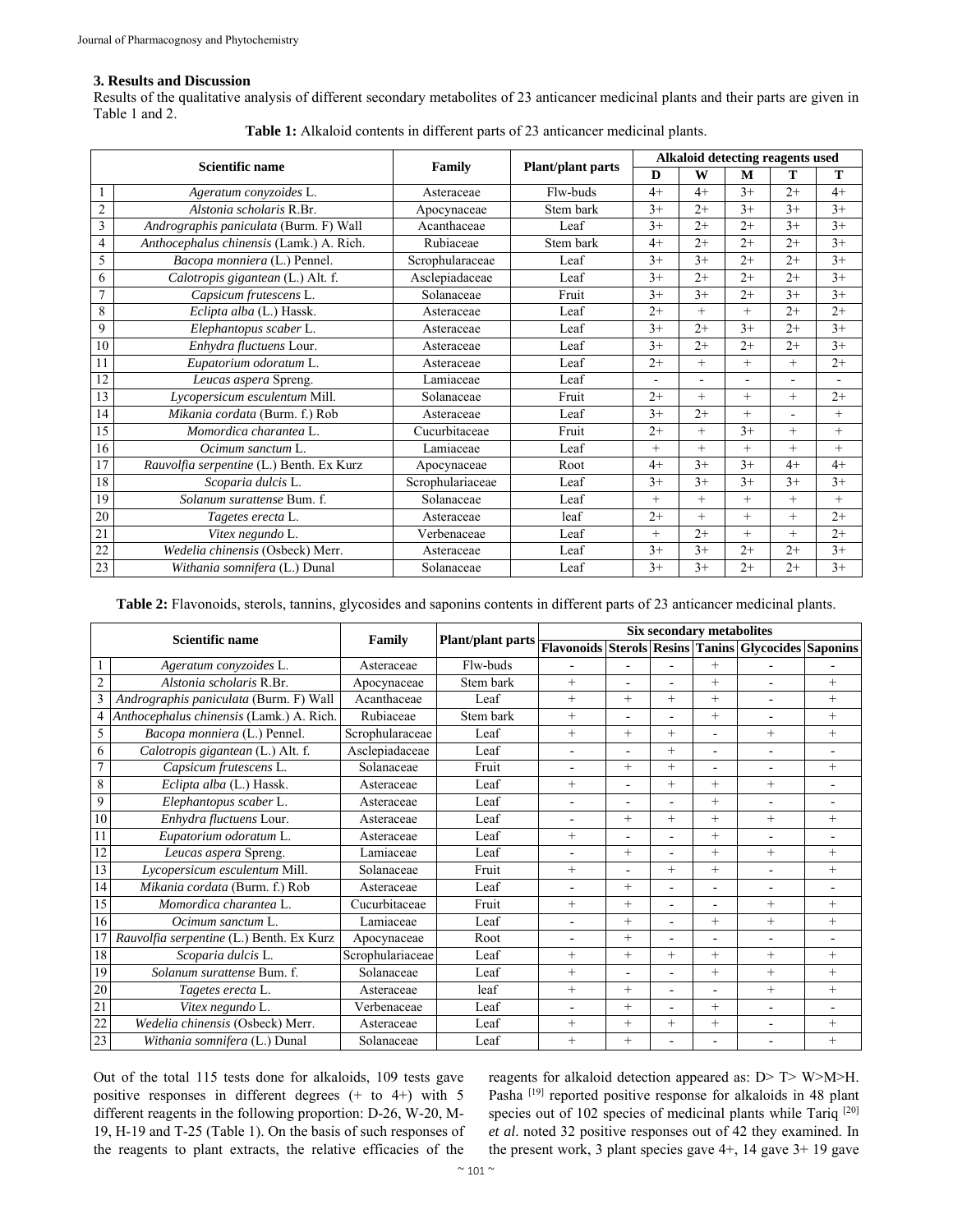#### **3. Results and Discussion**

Results of the qualitative analysis of different secondary metabolites of 23 anticancer medicinal plants and their parts are given in Table 1 and 2.

| <b>Scientific name</b> |                                          | Family           | Plant/plant parts | Alkaloid detecting reagents used |                |        |        |        |  |
|------------------------|------------------------------------------|------------------|-------------------|----------------------------------|----------------|--------|--------|--------|--|
|                        |                                          |                  |                   | D                                | W              | M      | Т      | T      |  |
|                        | Ageratum conyzoides L.                   | Asteraceae       | Flw-buds          | $4+$                             | $4+$           | $3+$   | $2+$   | $4+$   |  |
| $\sqrt{2}$             | Alstonia scholaris R.Br.                 | Apocynaceae      | Stem bark         | $3+$                             | $2+$           | $3+$   | $3+$   | $3+$   |  |
| 3                      | Andrographis paniculata (Burm. F) Wall   | Acanthaceae      | Leaf              | $3+$                             | $2+$           | $2+$   | $3+$   | $3+$   |  |
| $\overline{4}$         | Anthocephalus chinensis (Lamk.) A. Rich. | Rubiaceae        | Stem bark         | $4+$                             | $2+$           | $2+$   | $2+$   | $3+$   |  |
| 5                      | Bacopa monniera (L.) Pennel.             | Scrophularaceae  | Leaf              | $3+$                             | $3+$           | $2+$   | $2+$   | $3+$   |  |
| 6                      | Calotropis gigantean (L.) Alt. f.        | Asclepiadaceae   | Leaf              | $3+$                             | $2+$           | $2+$   | $2+$   | $3+$   |  |
| $\overline{7}$         | Capsicum frutescens L.                   | Solanaceae       | Fruit             | $3+$                             | $3+$           | $2+$   | $3+$   | $3+$   |  |
| 8                      | Eclipta alba (L.) Hassk.                 | Asteraceae       | Leaf              | $2+$                             | $^{+}$         | $^{+}$ | $2+$   | $2+$   |  |
| 9                      | Elephantopus scaber L.                   | Asteraceae       | Leaf              | $3+$                             | $2+$           | $3+$   | $2+$   | $3+$   |  |
| 10                     | Enhydra fluctuens Lour.                  | Asteraceae       | Leaf              | $3+$                             | $2+$           | $2+$   | $2+$   | $3+$   |  |
| 11                     | Eupatorium odoratum L.                   | Asteraceae       | Leaf              | $2+$                             | $^{+}$         | $+$    | $^{+}$ | $2+$   |  |
| 12                     | Leucas aspera Spreng.                    | Lamiaceae        | Leaf              | ÷.                               | $\blacksquare$ |        | ۰      | $\sim$ |  |
| 13                     | Lycopersicum esculentum Mill.            | Solanaceae       | Fruit             | $2+$                             | $^{+}$         | $+$    | $+$    | $2+$   |  |
| 14                     | Mikania cordata (Burm. f.) Rob           | Asteraceae       | Leaf              | $3+$                             | $2+$           | $+$    | ٠      | $+$    |  |
| 15                     | Momordica charantea L.                   | Cucurbitaceae    | Fruit             | $2+$                             | $+$            | $3+$   | $+$    | $^{+}$ |  |
| 16                     | Ocimum sanctum L.                        | Lamiaceae        | Leaf              | $+$                              | $+$            | $+$    | $+$    | $^{+}$ |  |
| 17                     | Rauvolfia serpentine (L.) Benth. Ex Kurz | Apocynaceae      | Root              | $4+$                             | $3+$           | $3+$   | $4+$   | $4+$   |  |
| 18                     | Scoparia dulcis L.                       | Scrophulariaceae | Leaf              | $3+$                             | $3+$           | $3+$   | $3+$   | $3+$   |  |
| 19                     | Solanum surattense Bum. f.               | Solanaceae       | Leaf              | $+$                              | $^{+}$         | $+$    | $+$    | $^{+}$ |  |
| 20                     | Tagetes erecta L.                        | Asteraceae       | leaf              | $2+$                             | $+$            | $^{+}$ | $+$    | $2+$   |  |
| 21                     | Vitex negundo L.                         | Verbenaceae      | Leaf              | $^{+}$                           | $2+$           | $^{+}$ | $+$    | $2+$   |  |
| 22                     | Wedelia chinensis (Osbeck) Merr.         | Asteraceae       | Leaf              | $3+$                             | $3+$           | $2+$   | $2+$   | $3+$   |  |
| 23                     | Withania somnifera (L.) Dunal            | Solanaceae       | Leaf              | $3+$                             | $3+$           | $2+$   | $2+$   | $3+$   |  |

**Table 1:** Alkaloid contents in different parts of 23 anticancer medicinal plants.

**Table 2:** Flavonoids, sterols, tannins, glycosides and saponins contents in different parts of 23 anticancer medicinal plants.

| <b>Scientific name</b> |                                          | Family           | <b>Plant/plant parts</b> | <b>Six secondary metabolites</b> |                          |                          |                          |                                                      |                          |  |
|------------------------|------------------------------------------|------------------|--------------------------|----------------------------------|--------------------------|--------------------------|--------------------------|------------------------------------------------------|--------------------------|--|
|                        |                                          |                  |                          |                                  |                          |                          |                          | Flavonoids Sterols Resins Tanins Glycocides Saponins |                          |  |
|                        | Ageratum conyzoides L.                   | Asteraceae       | Flw-buds                 |                                  |                          |                          | $^{+}$                   |                                                      |                          |  |
| $\mathfrak{2}$         | Alstonia scholaris R.Br.                 | Apocynaceae      | Stem bark                | $+$                              | $\blacksquare$           | $\blacksquare$           | $^{+}$                   | ÷.                                                   | $+$                      |  |
|                        | Andrographis paniculata (Burm. F) Wall   | Acanthaceae      | Leaf                     | $+$                              | $+$                      | $^{+}$                   | $^{+}$                   | ٠                                                    | $+$                      |  |
| 4                      | Anthocephalus chinensis (Lamk.) A. Rich. | Rubiaceae        | Stem bark                | $+$                              | $\blacksquare$           | $\blacksquare$           | $^{+}$                   | ÷.                                                   | $+$                      |  |
| 5                      | Bacopa monniera (L.) Pennel.             | Scrophularaceae  | Leaf                     | $+$                              | $+$                      | $^{+}$                   |                          | $+$                                                  | $+$                      |  |
| 6                      | Calotropis gigantean (L.) Alt. f.        | Asclepiadaceae   | Leaf                     | $\blacksquare$                   | $\overline{\phantom{0}}$ | $^{+}$                   | $\overline{\phantom{a}}$ | ä,                                                   | ٠                        |  |
| $\overline{7}$         | Capsicum frutescens L.                   | Solanaceae       | Fruit                    | ٠                                | $^{+}$                   | $^{+}$                   | $\overline{\phantom{a}}$ | ۰                                                    | $+$                      |  |
| 8                      | Eclipta alba (L.) Hassk.                 | Asteraceae       | Leaf                     | $+$                              | $\blacksquare$           | $^{+}$                   | $^{+}$                   | $+$                                                  | ÷.                       |  |
| 9                      | Elephantopus scaber L.                   | Asteraceae       | Leaf                     | $\blacksquare$                   | $\blacksquare$           | $\blacksquare$           | $^{+}$                   | ÷.                                                   | $\overline{\phantom{0}}$ |  |
| $\overline{10}$        | Enhydra fluctuens Lour.                  | Asteraceae       | Leaf                     | $\overline{\phantom{a}}$         | $+$                      | $^{+}$                   | $^{+}$                   | $+$                                                  | $+$                      |  |
| 11                     | Eupatorium odoratum L.                   | Asteraceae       | Leaf                     | $^{+}$                           | $\blacksquare$           | $\overline{a}$           | $^{+}$                   | ÷.                                                   | $\overline{\phantom{0}}$ |  |
| $\overline{12}$        | Leucas aspera Spreng.                    | Lamiaceae        | Leaf                     | $\overline{\phantom{a}}$         | $+$                      | $\blacksquare$           | $^{+}$                   | $+$                                                  | $+$                      |  |
| 13                     | Lycopersicum esculentum Mill.            | Solanaceae       | Fruit                    | $+$                              | ÷                        | $^{+}$                   | $^{+}$                   | ٠                                                    | $+$                      |  |
| 14                     | Mikania cordata (Burm. f.) Rob           | Asteraceae       | Leaf                     | $\blacksquare$                   | $+$                      | $\blacksquare$           | $\overline{\phantom{a}}$ | ۰                                                    | ٠                        |  |
| 15                     | Momordica charantea L.                   | Cucurbitaceae    | Fruit                    | $^{+}$                           | $+$                      | $\overline{\phantom{a}}$ | $\overline{\phantom{a}}$ | $+$                                                  | $+$                      |  |
| 16                     | Ocimum sanctum L.                        | Lamiaceae        | Leaf                     | $\blacksquare$                   | $+$                      | $\blacksquare$           | $^{+}$                   | $+$                                                  | $+$                      |  |
|                        | Rauvolfia serpentine (L.) Benth. Ex Kurz | Apocynaceae      | Root                     |                                  | $+$                      | ä,                       |                          | ٠                                                    | $\blacksquare$           |  |
| 18                     | Scoparia dulcis L.                       | Scrophulariaceae | Leaf                     | $+$                              | $+$                      | $^{+}$                   | $^{+}$                   | $+$                                                  | $+$                      |  |
| 19                     | Solanum surattense Bum. f.               | Solanaceae       | Leaf                     | $+$                              | ÷.                       | $\blacksquare$           | $^{+}$                   | $+$                                                  | $+$                      |  |
| 20                     | Tagetes erecta L.                        | Asteraceae       | leaf                     | $+$                              | $+$                      | ۰                        |                          | $+$                                                  | $+$                      |  |
| 21                     | Vitex negundo L.                         | Verbenaceae      | Leaf                     |                                  | $^{+}$                   | $\blacksquare$           | $^{+}$                   | $\blacksquare$                                       | ٠                        |  |
| 22                     | Wedelia chinensis (Osbeck) Merr.         | Asteraceae       | Leaf                     | $+$                              | $+$                      | $^{+}$                   | $^{+}$                   | $\blacksquare$                                       | $+$                      |  |
| 23                     | Withania somnifera (L.) Dunal            | Solanaceae       | Leaf                     | $+$                              | $^{+}$                   |                          |                          |                                                      | $+$                      |  |

Out of the total 115 tests done for alkaloids, 109 tests gave positive responses in different degrees (+ to 4+) with 5 different reagents in the following proportion: D-26, W-20, M-19, H-19 and T-25 (Table 1). On the basis of such responses of the reagents to plant extracts, the relative efficacies of the

reagents for alkaloid detection appeared as: D> T> W>M>H. Pasha<sup>[19]</sup> reported positive response for alkaloids in 48 plant species out of 102 species of medicinal plants while Tariq [20] *et al*. noted 32 positive responses out of 42 they examined. In the present work, 3 plant species gave 4+, 14 gave 3+ 19 gave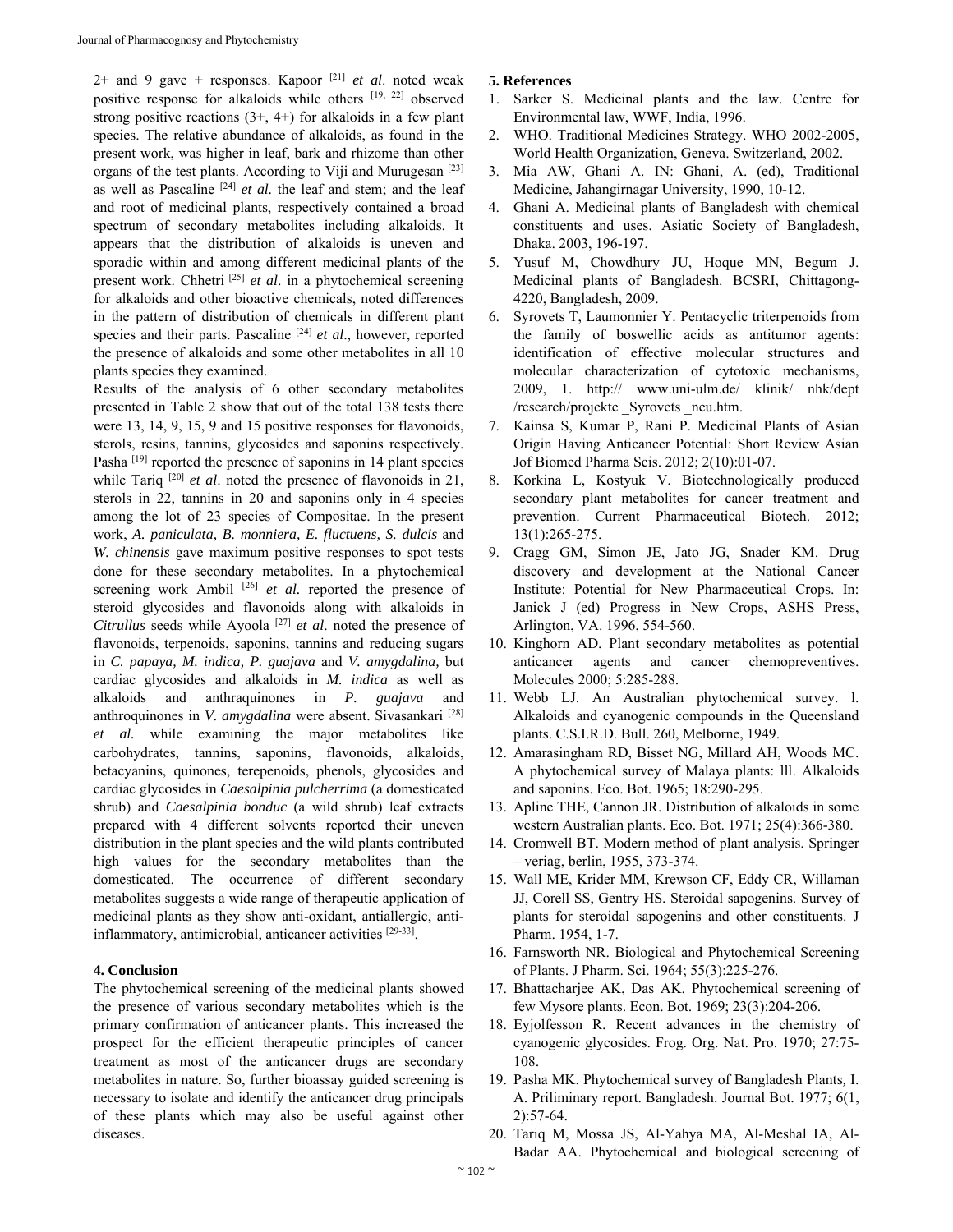$2+$  and 9 gave  $+$  responses. Kapoor <sup>[21]</sup> *et al.* noted weak positive response for alkaloids while others [19, 22] observed strong positive reactions  $(3+, 4+)$  for alkaloids in a few plant species. The relative abundance of alkaloids, as found in the present work, was higher in leaf, bark and rhizome than other organs of the test plants. According to Viji and Murugesan [23] as well as Pascaline<sup>[24]</sup>  $et$  al. the leaf and stem; and the leaf and root of medicinal plants, respectively contained a broad spectrum of secondary metabolites including alkaloids. It appears that the distribution of alkaloids is uneven and sporadic within and among different medicinal plants of the present work. Chhetri [25] *et al*. in a phytochemical screening for alkaloids and other bioactive chemicals, noted differences in the pattern of distribution of chemicals in different plant species and their parts. Pascaline [24] *et al*., however, reported the presence of alkaloids and some other metabolites in all 10 plants species they examined.

Results of the analysis of 6 other secondary metabolites presented in Table 2 show that out of the total 138 tests there were 13, 14, 9, 15, 9 and 15 positive responses for flavonoids, sterols, resins, tannins, glycosides and saponins respectively. Pasha<sup>[19]</sup> reported the presence of saponins in 14 plant species while Tariq <sup>[20]</sup> *et al.* noted the presence of flavonoids in 21, sterols in 22, tannins in 20 and saponins only in 4 species among the lot of 23 species of Compositae. In the present work, *A. paniculata, B. monniera, E. fluctuens, S. dulcis* and *W. chinensis* gave maximum positive responses to spot tests done for these secondary metabolites. In a phytochemical screening work Ambil <sup>[26]</sup> et al. reported the presence of steroid glycosides and flavonoids along with alkaloids in *Citrullus* seeds while Ayoola [27] *et al*. noted the presence of flavonoids, terpenoids, saponins, tannins and reducing sugars in *C. papaya, M. indica, P. guajava* and *V. amygdalina,* but cardiac glycosides and alkaloids in *M. indica* as well as alkaloids and anthraquinones in *P. guajava* and anthroquinones in *V. amygdalina* were absent. Sivasankari [28] *et al.* while examining the major metabolites like carbohydrates, tannins, saponins, flavonoids, alkaloids, betacyanins, quinones, terepenoids, phenols, glycosides and cardiac glycosides in *Caesalpinia pulcherrima* (a domesticated shrub) and *Caesalpinia bonduc* (a wild shrub) leaf extracts prepared with 4 different solvents reported their uneven distribution in the plant species and the wild plants contributed high values for the secondary metabolites than the domesticated. The occurrence of different secondary metabolites suggests a wide range of therapeutic application of medicinal plants as they show anti-oxidant, antiallergic, antiinflammatory, antimicrobial, anticancer activities [29-33].

#### **4. Conclusion**

The phytochemical screening of the medicinal plants showed the presence of various secondary metabolites which is the primary confirmation of anticancer plants. This increased the prospect for the efficient therapeutic principles of cancer treatment as most of the anticancer drugs are secondary metabolites in nature. So, further bioassay guided screening is necessary to isolate and identify the anticancer drug principals of these plants which may also be useful against other diseases.

#### **5. References**

- 1. Sarker S. Medicinal plants and the law. Centre for Environmental law, WWF, India, 1996.
- 2. WHO. Traditional Medicines Strategy. WHO 2002-2005, World Health Organization, Geneva. Switzerland, 2002.
- 3. Mia AW, Ghani A. IN: Ghani, A. (ed), Traditional Medicine, Jahangirnagar University, 1990, 10-12.
- 4. Ghani A. Medicinal plants of Bangladesh with chemical constituents and uses. Asiatic Society of Bangladesh, Dhaka. 2003, 196-197.
- 5. Yusuf M, Chowdhury JU, Hoque MN, Begum J. Medicinal plants of Bangladesh. BCSRI, Chittagong-4220, Bangladesh, 2009.
- 6. Syrovets T, Laumonnier Y. Pentacyclic triterpenoids from the family of boswellic acids as antitumor agents: identification of effective molecular structures and molecular characterization of cytotoxic mechanisms, 2009, 1. http:// www.uni-ulm.de/ klinik/ nhk/dept /research/projekte Syrovets neu.htm.
- 7. Kainsa S, Kumar P, Rani P. Medicinal Plants of Asian Origin Having Anticancer Potential: Short Review Asian Jof Biomed Pharma Scis. 2012; 2(10):01-07.
- 8. Korkina L, Kostyuk V. Biotechnologically produced secondary plant metabolites for cancer treatment and prevention. Current Pharmaceutical Biotech. 2012; 13(1):265-275.
- 9. Cragg GM, Simon JE, Jato JG, Snader KM. Drug discovery and development at the National Cancer Institute: Potential for New Pharmaceutical Crops. In: Janick J (ed) Progress in New Crops, ASHS Press, Arlington, VA. 1996, 554-560.
- 10. Kinghorn AD. Plant secondary metabolites as potential anticancer agents and cancer chemopreventives. Molecules 2000; 5:285-288.
- 11. Webb LJ. An Australian phytochemical survey. l. Alkaloids and cyanogenic compounds in the Queensland plants. C.S.I.R.D. Bull. 260, Melborne, 1949.
- 12. Amarasingham RD, Bisset NG, Millard AH, Woods MC. A phytochemical survey of Malaya plants: lll. Alkaloids and saponins. Eco. Bot. 1965; 18:290-295.
- 13. Apline THE, Cannon JR. Distribution of alkaloids in some western Australian plants. Eco. Bot. 1971; 25(4):366-380.
- 14. Cromwell BT. Modern method of plant analysis. Springer – veriag, berlin, 1955, 373-374.
- 15. Wall ME, Krider MM, Krewson CF, Eddy CR, Willaman JJ, Corell SS, Gentry HS. Steroidal sapogenins. Survey of plants for steroidal sapogenins and other constituents. J Pharm. 1954, 1-7.
- 16. Farnsworth NR. Biological and Phytochemical Screening of Plants. J Pharm. Sci. 1964; 55(3):225-276.
- 17. Bhattacharjee AK, Das AK. Phytochemical screening of few Mysore plants. Econ. Bot. 1969; 23(3):204-206.
- 18. Eyjolfesson R. Recent advances in the chemistry of cyanogenic glycosides. Frog. Org. Nat. Pro. 1970; 27:75- 108.
- 19. Pasha MK. Phytochemical survey of Bangladesh Plants*,* I. A. Priliminary report. Bangladesh. Journal Bot. 1977; 6(1, 2):57-64.
- 20. Tariq M, Mossa JS, Al-Yahya MA, Al-Meshal IA, Al-Badar AA. Phytochemical and biological screening of